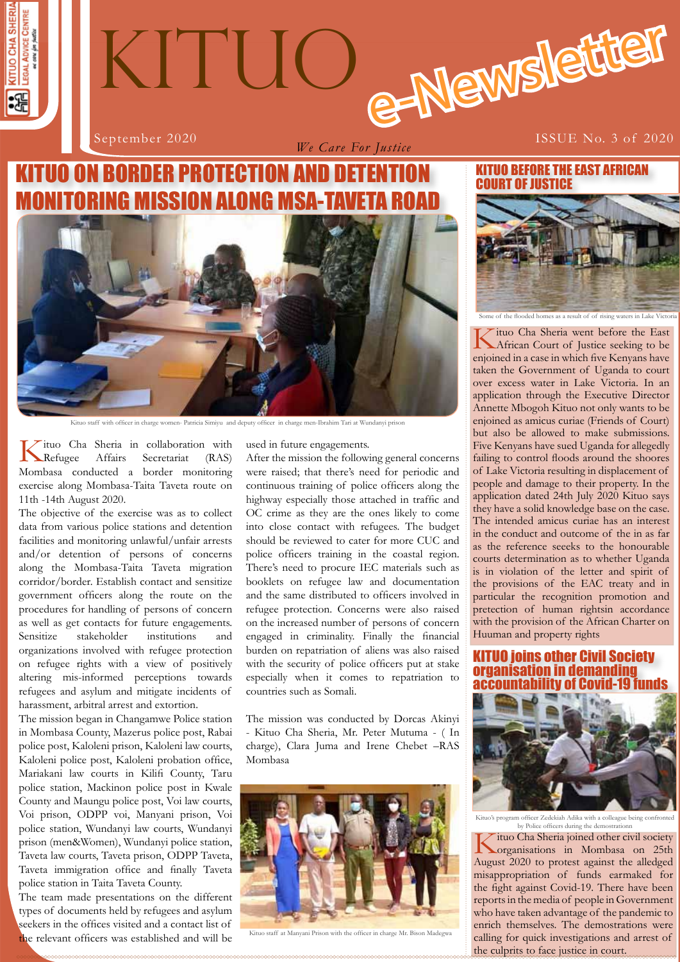



*We Care For Justice*

September 2020 **ISSUE No. 3 of 2020** 

# KITUO ON BORDER PROTECTION AND DETENTION ISSION ALONG M



Kituo staff with officer in charge women- Patricia Simiyu and deputy officer in charge men-Ibrahim Tari at Wundanyi prison

Kituo Cha Sheria in collaboration with Refugee Affairs Secretariat (RAS) Mombasa conducted a border monitoring exercise along Mombasa-Taita Taveta route on 11th -14th August 2020.

The objective of the exercise was as to collect data from various police stations and detention facilities and monitoring unlawful/unfair arrests and/or detention of persons of concerns along the Mombasa-Taita Taveta migration corridor/border. Establish contact and sensitize government officers along the route on the procedures for handling of persons of concern as well as get contacts for future engagements. Sensitize stakeholder institutions and organizations involved with refugee protection on refugee rights with a view of positively altering mis-informed perceptions towards refugees and asylum and mitigate incidents of harassment, arbitral arrest and extortion.

The mission began in Changamwe Police station in Mombasa County, Mazerus police post, Rabai police post, Kaloleni prison, Kaloleni law courts, Kaloleni police post, Kaloleni probation office, Mariakani law courts in Kilifi County, Taru police station, Mackinon police post in Kwale County and Maungu police post, Voi law courts, Voi prison, ODPP voi, Manyani prison, Voi police station, Wundanyi law courts, Wundanyi prison (men&Women), Wundanyi police station, Taveta law courts, Taveta prison, ODPP Taveta, Taveta immigration office and finally Taveta police station in Taita Taveta County.

The team made presentations on the different types of documents held by refugees and asylum seekers in the offices visited and a contact list of the relevant officers was established and will be used in future engagements.

After the mission the following general concerns were raised; that there's need for periodic and continuous training of police officers along the highway especially those attached in traffic and OC crime as they are the ones likely to come into close contact with refugees. The budget should be reviewed to cater for more CUC and police officers training in the coastal region. There's need to procure IEC materials such as booklets on refugee law and documentation and the same distributed to officers involved in refugee protection. Concerns were also raised on the increased number of persons of concern engaged in criminality. Finally the financial burden on repatriation of aliens was also raised with the security of police officers put at stake especially when it comes to repatriation to countries such as Somali.

The mission was conducted by Dorcas Akinyi - Kituo Cha Sheria, Mr. Peter Mutuma - ( In charge), Clara Juma and Irene Chebet –RAS Mombasa



Kituo staff at Manyani Prison with the officer in charge Mr. Bison Madegwa

#### KITUO BEFORE THE EAST AFRICAN COURT OF JUSTICE



Kituo Cha Sheria went before the East African Court of Justice seeking to be enjoined in a case in which five Kenyans have taken the Government of Uganda to court over excess water in Lake Victoria. In an application through the Executive Director Annette Mbogoh Kituo not only wants to be enjoined as amicus curiae (Friends of Court) but also be allowed to make submissions. Five Kenyans have sued Uganda for allegedly failing to control floods around the shoores of Lake Victoria resulting in displacement of people and damage to their property. In the application dated 24th July 2020 Kituo says they have a solid knowledge base on the case. The intended amicus curiae has an interest in the conduct and outcome of the in as far as the reference seeeks to the honourable courts determination as to whether Uganda is in violation of the letter and spirit of the provisions of the EAC treaty and in particular the recognition promotion and pretection of human rightsin accordance with the provision of the African Charter on Huuman and property rights

#### KITUO joins other Civil Society organisation in demanding accountability of Covid-19 funds



.<br>Kitus Zedekiah Adika with a colleague being confr by Police officers during the demostrationn

calling for quick investigations and arrest of Kituo Cha Sheria joined other civil society organisations in Mombasa on 25th August 2020 to protest against the alledged misappropriation of funds earmaked for the fight against Covid-19. There have been reports in the media of people in Government who have taken advantage of the pandemic to enrich themselves. The demostrations were the culprits to face justice in court.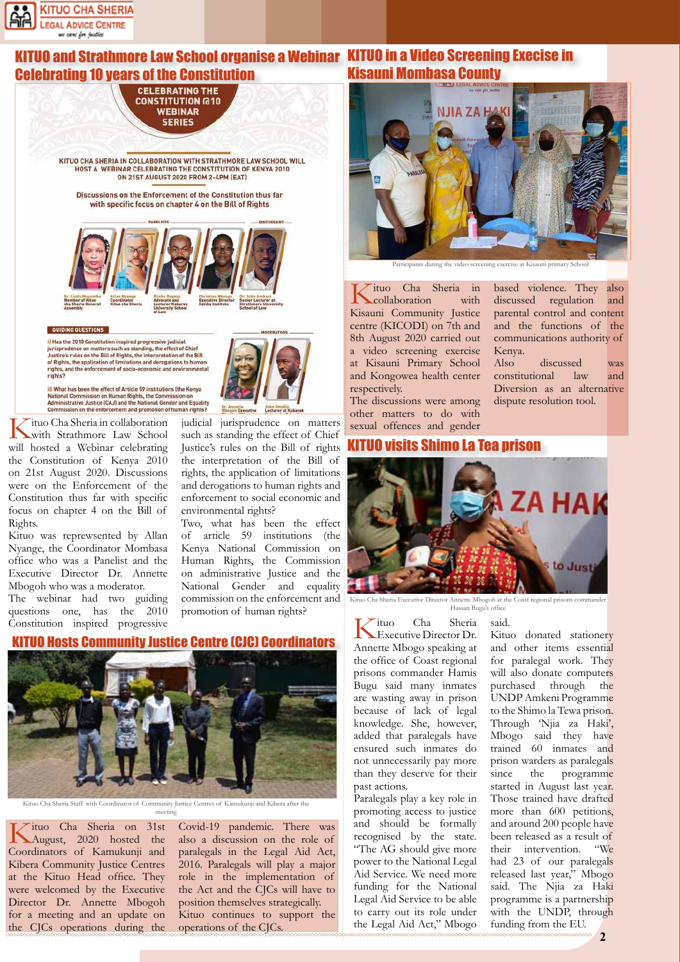

#### KITUO and Strathmore Law School organise a Webinar KITUO in a Video Screening Execise in Celebrating 10 years of the Constitution Kisauni Mombasa County

**CELEBRATING THE CONSTITUTION @10 WEBINAR SERIES** 

KITUO CHA SHERIA IN COLLABORATION WITH STRATHMORE LAW SCHOOL WILL HOST A WEBINAR CELEBRATING THE CONSTITUTION OF KENYA 2010 ON 215T AUGUST 2020 FROM 2-4PM (EAT)

Discussions on the Enforcement of the Constitution thus far with specific focus on chapter 4 on the Bill of Rights



#### **GUIDING QUESTIONS**

il Has the 2010 Constitution inspired progressive judicial il Has the 2010 Constitution inspired progressive judicial lurisprudence on matters such as istanting, the effect of Chief Justice's rules on the Bill of Rights, the interpretation of the Bill of Rights, the application o

iil What has been the effect of Article 59 institutions (the Kenya National Commission on Human Rights, the Commission on<br>Administrative Justice (CAJ) and the National Gender and Equality Commission on the enforce ment and promotion of human rights'



Kituo was reprewsented by Allan Nyange, the Coordinator Mombasa office who was a Panelist and the Executive Director Dr. Annette Mbogoh who was a moderator.

The webinar had two guiding questions one, has the 2010 Constitution inspired progressive



rights, the application of limitations and derogations to human rights and enforcement to social economic and environmental rights?

Two, what has been the effect of article 59 institutions (the Kenya National Commission on Human Rights, the Commission on administrative Justice and the National Gender and equality commission on the enforcement and promotion of human rights?

#### **Hosts Community Justice Centre (CJC) Coordinators**



Kituo Cha Sheria Staff with Coordinator of Community Justice Centres of Kamukunji and Kibera after the meeting

Kituo Cha Sheria on 31st August, 2020 hosted the Coordinators of Kamukunji and Kibera Community Justice Centres at the Kituo Head office. They were welcomed by the Executive Director Dr. Annette Mbogoh for a meeting and an update on the CJCs operations during the

Covid-19 pandemic. There was also a discussion on the role of paralegals in the Legal Aid Act, 2016. Paralegals will play a major role in the implementation of the Act and the CJCs will have to position themselves strategically. Kituo continues to support the operations of the CJCs.



Participants during the video screening exercise at Kisauni primary School

Kenya.

based violence. They also discussed regulation and parental control and content and the functions of the communications authority of

Also discussed was constitutional law and Diversion as an alternative dispute resolution tool.

Kituo Cha Sheria in collaboration with Kisauni Community Justice centre (KICODI) on 7th and 8th August 2020 carried out a video screening exercise at Kisauni Primary School and Kongowea health center respectively.

The discussions were among other matters to do with sexual offences and gender

#### KITUO visits Shimo La Tea prison



Kituo Cha Sheria Executive Director Annette Mbogoh at the Coast regional prisons commander Hassan Bugu's office

said.

Kituo Cha Sheria Executive Director Dr. Annette Mbogo speaking at the office of Coast regional prisons commander Hamis Bugu said many inmates are wasting away in prison because of lack of legal knowledge. She, however, added that paralegals have ensured such inmates do not unnecessarily pay more than they deserve for their past actions.

Paralegals play a key role in promoting access to justice and should be formally recognised by the state. "The AG should give more power to the National Legal Aid Service. We need more funding for the National Legal Aid Service to be able to carry out its role under the Legal Aid Act," Mbogo

Kituo donated stationery and other items essential for paralegal work. They will also donate computers purchased through the UNDP Amkeni Programme to the Shimo la Tewa prison. Through 'Njia za Haki', Mbogo said they have trained 60 inmates and prison warders as paralegals since the programme started in August last year. Those trained have drafted more than 600 petitions, and around 200 people have been released as a result of their intervention. "We had 23 of our paralegals released last year," Mbogo said. The Njia za Haki programme is a partnership with the UNDP, through funding from the EU.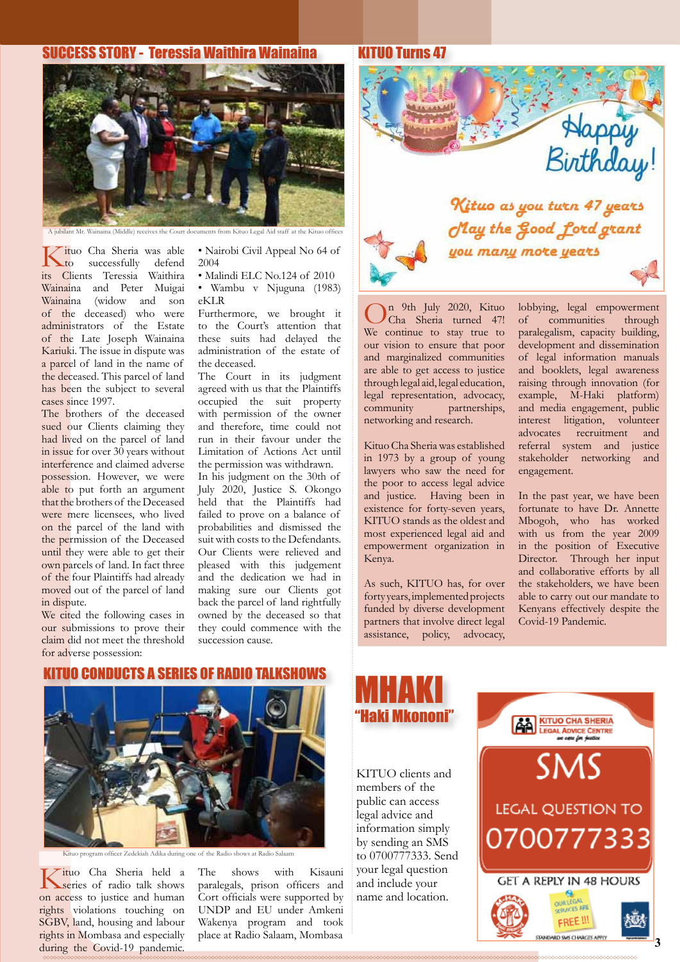#### SUCCESS STORY - Teressia Waithira Wainaina



A jubilant Mr. Wainaina (Middle) receives the Court documents from Kituo Legal Aid staff at the Kituo of

Kituo Cha Sheria was able<br>to successfully defend<br>its Clients Teressia Waithira successfully its Clients Teressia Wainaina and Peter Muigai Wainaina (widow and son of the deceased) who were administrators of the Estate of the Late Joseph Wainaina Kariuki. The issue in dispute was a parcel of land in the name of the deceased. This parcel of land has been the subject to several cases since 1997.

The brothers of the deceased sued our Clients claiming they had lived on the parcel of land in issue for over 30 years without interference and claimed adverse possession. However, we were able to put forth an argument that the brothers of the Deceased were mere licensees, who lived on the parcel of the land with the permission of the Deceased until they were able to get their own parcels of land. In fact three of the four Plaintiffs had already moved out of the parcel of land in dispute.

We cited the following cases in our submissions to prove their claim did not meet the threshold for adverse possession:

• Nairobi Civil Appeal No 64 of 2004

• Malindi ELC No.124 of 2010

• Wambu v Njuguna (1983) eKLR

Furthermore, we brought it to the Court's attention that these suits had delayed the administration of the estate of the deceased.

The Court in its judgment agreed with us that the Plaintiffs occupied the suit property with permission of the owner and therefore, time could not run in their favour under the Limitation of Actions Act until the permission was withdrawn. In his judgment on the 30th of

July 2020, Justice S. Okongo held that the Plaintiffs had failed to prove on a balance of probabilities and dismissed the suit with costs to the Defendants. Our Clients were relieved and pleased with this judgement and the dedication we had in making sure our Clients got back the parcel of land rightfully owned by the deceased so that they could commence with the succession cause.

# Happy<br>Birthday! Kituo as you turn 47 years May the Good ford grant you many more years

On 9th July 2020, Kituo Cha Sheria turned 47! We continue to stay true to our vision to ensure that poor and marginalized communities are able to get access to justice through legal aid, legal education, legal representation, advocacy, community partnerships, networking and research.

KITUO Turns 47

Kituo Cha Sheria was established in 1973 by a group of young lawyers who saw the need for the poor to access legal advice and justice. Having been in existence for forty-seven years, KITUO stands as the oldest and most experienced legal aid and empowerment organization in Kenya.

As such, KITUO has, for over forty years, implemented projects funded by diverse development partners that involve direct legal assistance, policy, advocacy,

lobbying, legal empowerment of communities through paralegalism, capacity building, development and dissemination of legal information manuals and booklets, legal awareness raising through innovation (for example, M-Haki platform) and media engagement, public interest litigation, volunteer advocates recruitment and referral system and justice stakeholder networking and engagement.

In the past year, we have been fortunate to have Dr. Annette Mbogoh, who has worked with us from the year 2009 in the position of Executive Director. Through her input and collaborative efforts by all the stakeholders, we have been able to carry out our mandate to Kenyans effectively despite the Covid-19 Pandemic.

#### KITUO CONDUCTS A SERIES OF RADIO TALKSHOW



Kituo program officer Zedekiah Adika during one of the Radio shows at Radio Salaam

Kituo Cha Sheria held a series of radio talk shows on access to justice and human rights violations touching on SGBV, land, housing and labour rights in Mombasa and especially during the Covid-19 pandemic.

The shows with Kisauni paralegals, prison officers and Cort officials were supported by UNDP and EU under Amkeni Wakenya program and took place at Radio Salaam, Mombasa



KITUO clients and members of the public can access legal advice and information simply by sending an SMS to 0700777333. Send your legal question and include your name and location.

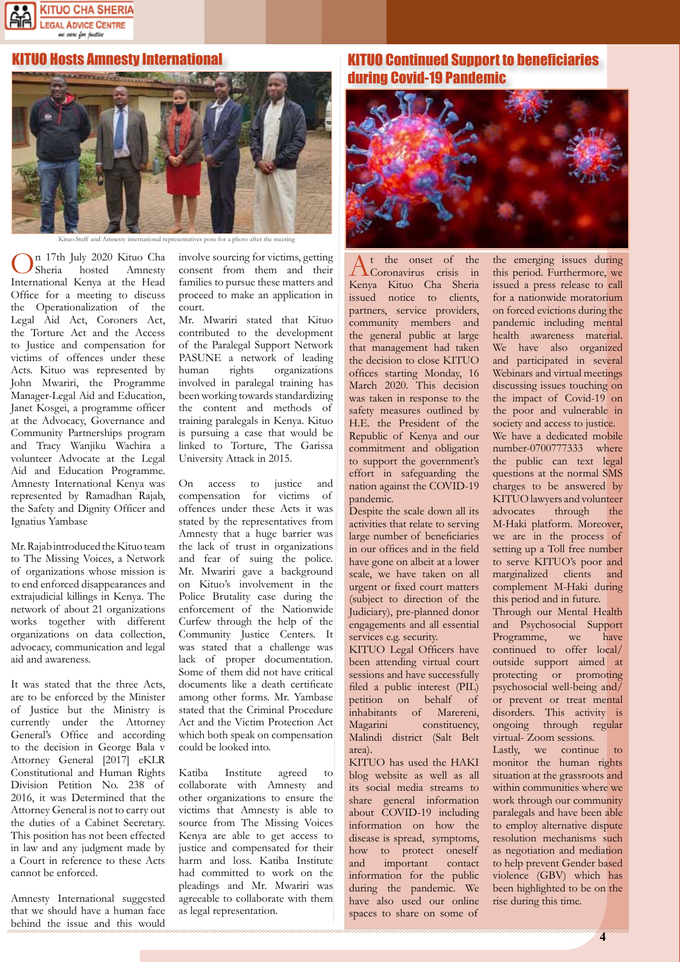

#### KITUO Hosts Amnesty International



n 17th July 2020 Kituo Cha<br>Sheria hosted Amnesty Amnesty International Kenya at the Head Office for a meeting to discuss the Operationalization of the Legal Aid Act, Coroners Act, the Torture Act and the Access to Justice and compensation for victims of offences under these Acts. Kituo was represented by John Mwariri, the Programme Manager-Legal Aid and Education, Janet Kosgei, a programme officer at the Advocacy, Governance and Community Partnerships program and Tracy Wanjiku Wachira a volunteer Advocate at the Legal Aid and Education Programme. Amnesty International Kenya was represented by Ramadhan Rajab, the Safety and Dignity Officer and Ignatius Yambase

Mr. Rajab introduced the Kituo team to The Missing Voices, a Network of organizations whose mission is to end enforced disappearances and extrajudicial killings in Kenya. The network of about 21 organizations works together with different organizations on data collection, advocacy, communication and legal aid and awareness.

It was stated that the three Acts, are to be enforced by the Minister of Justice but the Ministry is currently under the Attorney General's Office and according to the decision in George Bala v Attorney General [2017] eKLR Constitutional and Human Rights Division Petition No. 238 of 2016, it was Determined that the Attorney General is not to carry out the duties of a Cabinet Secretary. This position has not been effected in law and any judgment made by a Court in reference to these Acts cannot be enforced.

Amnesty International suggested that we should have a human face behind the issue and this would involve sourcing for victims, getting consent from them and their families to pursue these matters and proceed to make an application in court.

Mr. Mwariri stated that Kituo contributed to the development of the Paralegal Support Network PASUNE a network of leading human rights organizations involved in paralegal training has been working towards standardizing the content and methods of training paralegals in Kenya. Kituo is pursuing a case that would be linked to Torture, The Garissa University Attack in 2015.

On access to justice and compensation for victims of offences under these Acts it was stated by the representatives from Amnesty that a huge barrier was the lack of trust in organizations and fear of suing the police. Mr. Mwariri gave a background on Kituo's involvement in the Police Brutality case during the enforcement of the Nationwide Curfew through the help of the Community Justice Centers. It was stated that a challenge was lack of proper documentation. Some of them did not have critical documents like a death certificate among other forms. Mr. Yambase stated that the Criminal Procedure Act and the Victim Protection Act which both speak on compensation could be looked into.

Katiba Institute agreed to collaborate with Amnesty and other organizations to ensure the victims that Amnesty is able to source from The Missing Voices Kenya are able to get access to justice and compensated for their harm and loss. Katiba Institute had committed to work on the pleadings and Mr. Mwariri was agreeable to collaborate with them as legal representation.

#### KITUO Continued Support to beneficiaries during Covid-19 Pandemic



A<sup>t the</sup> onset of the Coronavirus crisis in Kenya Kituo Cha Sheria issued notice to clients, partners, service providers, community members and the general public at large that management had taken the decision to close KITUO offices starting Monday, 16 March 2020. This decision was taken in response to the safety measures outlined by H.E. the President of the Republic of Kenya and our commitment and obligation to support the government's effort in safeguarding the nation against the COVID-19 pandemic.

Despite the scale down all its activities that relate to serving large number of beneficiaries in our offices and in the field have gone on albeit at a lower scale, we have taken on all urgent or fixed court matters (subject to direction of the Judiciary), pre-planned donor engagements and all essential services e.g. security.

KITUO Legal Officers have been attending virtual court sessions and have successfully filed a public interest (PIL) petition on behalf of inhabitants of Marereni, Magarini constituency, Malindi district (Salt Belt area).

KITUO has used the HAKI blog website as well as all its social media streams to share general information about COVID-19 including information on how the disease is spread, symptoms, how to protect oneself and important contact information for the public during the pandemic. We have also used our online spaces to share on some of

the emerging issues during this period. Furthermore, we issued a press release to call for a nationwide moratorium on forced evictions during the pandemic including mental health awareness material. We have also organized and participated in several Webinars and virtual meetings discussing issues touching on the impact of Covid-19 on the poor and vulnerable in society and access to justice. We have a dedicated mobile number-0700777333 where the public can text legal questions at the normal SMS charges to be answered by KITUO lawyers and volunteer advocates through the M-Haki platform. Moreover, we are in the process of setting up a Toll free number to serve KITUO's poor and marginalized clients and complement M-Haki during this period and in future. Through our Mental Health and Psychosocial Support Programme, we have continued to offer local/ outside support aimed at protecting or promoting

psychosocial well-being and/ or prevent or treat mental disorders. This activity is ongoing through regular virtual- Zoom sessions. Lastly, we continue to

monitor the human rights situation at the grassroots and within communities where we work through our community paralegals and have been able to employ alternative dispute resolution mechanisms such as negotiation and mediation to help prevent Gender based violence (GBV) which has been highlighted to be on the rise during this time.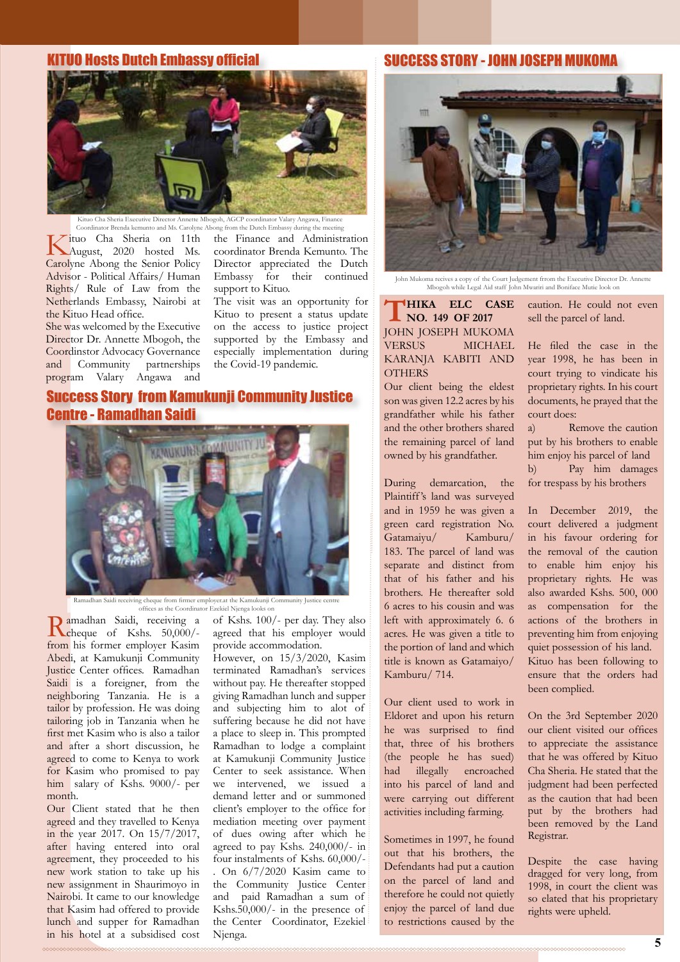#### KITUO Hosts Dutch Embassy official



Kituo Cha Sheria Executive Director Annette Mbogoh, AGCP coordinator Valary Angawa, Finance Coordinator Brenda kemunto and Ms. Carolyne Abong from the Dutch Embassy during the meeting

Kituo Cha Sheria on 11th August, 2020 hosted Ms. Carolyne Abong the Senior Policy Advisor - Political Affairs/ Human Rights/ Rule of Law from the Netherlands Embassy, Nairobi at the Kituo Head office.

She was welcomed by the Executive Director Dr. Annette Mbogoh, the Coordinstor Advocacy Governance and Community partnerships program Valary Angawa and the Finance and Administration coordinator Brenda Kemunto. The Director appreciated the Dutch Embassy for their continued support to Kituo.

The visit was an opportunity for Kituo to present a status update on the access to justice project supported by the Embassy and especially implementation during the Covid-19 pandemic.

#### Success Story from Kamukunji Community Justice Centre - Ramadhan Saidi



Ramadhan Saidi receiving cheque from firmer employer.at the Kamukunji Community Justice centre offices as the Coordinator Ezekiel Njenga looks on

Ramadhan Saidi, receiving a cheque of Kshs. 50,000/ from his former employer Kasim Abedi, at Kamukunji Community Justice Center offices. Ramadhan Saidi is a foreigner, from the neighboring Tanzania. He is a tailor by profession. He was doing tailoring job in Tanzania when he first met Kasim who is also a tailor and after a short discussion, he agreed to come to Kenya to work for Kasim who promised to pay him salary of Kshs. 9000/- per month.

Our Client stated that he then agreed and they travelled to Kenya in the year 2017. On 15/7/2017, after having entered into oral agreement, they proceeded to his new work station to take up his new assignment in Shaurimoyo in Nairobi. It came to our knowledge that Kasim had offered to provide lunch and supper for Ramadhan in his hotel at a subsidised cost of Kshs. 100/- per day. They also agreed that his employer would provide accommodation.

However, on 15/3/2020, Kasim terminated Ramadhan's services without pay. He thereafter stopped giving Ramadhan lunch and supper and subjecting him to alot of suffering because he did not have a place to sleep in. This prompted Ramadhan to lodge a complaint at Kamukunji Community Justice Center to seek assistance. When we intervened, we issued a demand letter and or summoned client's employer to the office for mediation meeting over payment of dues owing after which he agreed to pay Kshs. 240,000/- in four instalments of Kshs. 60,000/- . On 6/7/2020 Kasim came to the Community Justice Center and paid Ramadhan a sum of Kshs.50,000/- in the presence of the Center Coordinator, Ezekiel Njenga.

#### SUCCESS STORY - JOHN JOSEPH MUKOMA



John Mukoma recives a copy of the Court Judgement frrom the Executive Director Dr. Annette Mbogoh while Legal Aid staff John Mwariri and Boniface Mutie look on

**THIKA ELC CASE NO. 149 OF 2017** JOHN JOSEPH MUKOMA VERSUS MICHAEL KARANJA KABITI AND **OTHERS** 

Our client being the eldest son was given 12.2 acres by his grandfather while his father and the other brothers shared the remaining parcel of land owned by his grandfather.

During demarcation, the Plaintiff 's land was surveyed and in 1959 he was given a green card registration No. Gatamaiyu/ Kamburu/ 183. The parcel of land was separate and distinct from that of his father and his brothers. He thereafter sold 6 acres to his cousin and was left with approximately 6. 6 acres. He was given a title to the portion of land and which title is known as Gatamaiyo/ Kamburu/ 714.

Our client used to work in Eldoret and upon his return he was surprised to find that, three of his brothers (the people he has sued) had illegally encroached into his parcel of land and were carrying out different activities including farming.

Sometimes in 1997, he found out that his brothers, the Defendants had put a caution on the parcel of land and therefore he could not quietly enjoy the parcel of land due to restrictions caused by the caution. He could not even sell the parcel of land.

He filed the case in the year 1998, he has been in court trying to vindicate his proprietary rights. In his court documents, he prayed that the court does:

a) Remove the caution put by his brothers to enable him enjoy his parcel of land b) Pay him damages for trespass by his brothers

In December 2019, the court delivered a judgment in his favour ordering for the removal of the caution to enable him enjoy his proprietary rights. He was also awarded Kshs. 500, 000 as compensation for the actions of the brothers in preventing him from enjoying quiet possession of his land. Kituo has been following to ensure that the orders had been complied.

On the 3rd September 2020 our client visited our offices to appreciate the assistance that he was offered by Kituo Cha Sheria. He stated that the judgment had been perfected as the caution that had been put by the brothers had been removed by the Land Registrar.

Despite the case having dragged for very long, from 1998, in court the client was so elated that his proprietary rights were upheld.

<u>mmmmmmmm</u>